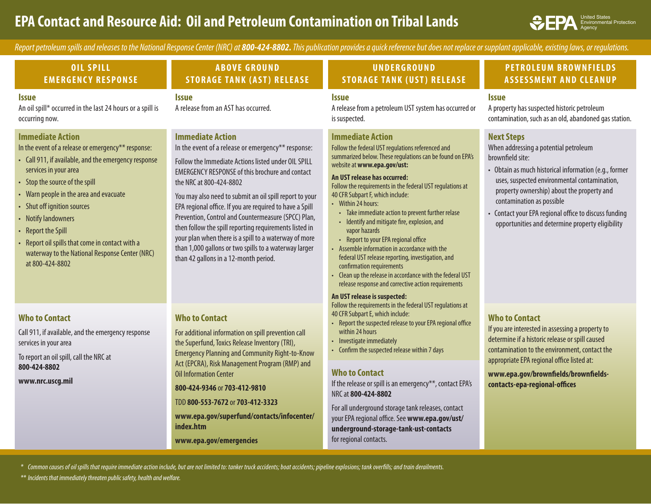# **EPA Contact and Resource Aid: Oil and Petroleum Contamination on Tribal Lands** States States States States States

Environmental Protection Agency

Report petroleum spills and releases to the National Response Center (NRC) at 800-424-8802. This publication provides a quick reference but does not replace or supplant applicable, existing laws, or regulations.

| <b>OIL SPILL</b><br><b>EMERGENCY RESPONSE</b>                                                                                                                                                                                                                                                                                                                                                                                                  | <b>ABOVE GROUND</b><br><b>STORAGE TANK (AST) RELEASE</b>                                                                                                                                                                                                                                                                                                                                                                                                                                                                                                                                                                     | <b>UNDERGROUND</b><br><b>STORAGE TANK (UST) RELEASE</b>                                                                                                                                                                                                                                                                                                                                                                                                                                                                                                                                                                                                                                                                                                                                     | <b>PETROLEUM BROWNFIELDS</b><br><b>ASSESSMENT AND CLEANUP</b>                                                                                                                                                                                                                                                                                                                   |
|------------------------------------------------------------------------------------------------------------------------------------------------------------------------------------------------------------------------------------------------------------------------------------------------------------------------------------------------------------------------------------------------------------------------------------------------|------------------------------------------------------------------------------------------------------------------------------------------------------------------------------------------------------------------------------------------------------------------------------------------------------------------------------------------------------------------------------------------------------------------------------------------------------------------------------------------------------------------------------------------------------------------------------------------------------------------------------|---------------------------------------------------------------------------------------------------------------------------------------------------------------------------------------------------------------------------------------------------------------------------------------------------------------------------------------------------------------------------------------------------------------------------------------------------------------------------------------------------------------------------------------------------------------------------------------------------------------------------------------------------------------------------------------------------------------------------------------------------------------------------------------------|---------------------------------------------------------------------------------------------------------------------------------------------------------------------------------------------------------------------------------------------------------------------------------------------------------------------------------------------------------------------------------|
| <i><b>Issue</b></i><br>An oil spill* occurred in the last 24 hours or a spill is<br>occurring now.                                                                                                                                                                                                                                                                                                                                             | <i><b>Issue</b></i><br>A release from an AST has occurred.                                                                                                                                                                                                                                                                                                                                                                                                                                                                                                                                                                   | <i><b>Issue</b></i><br>A release from a petroleum UST system has occurred or<br>is suspected.                                                                                                                                                                                                                                                                                                                                                                                                                                                                                                                                                                                                                                                                                               | <b>Issue</b><br>A property has suspected historic petroleum<br>contamination, such as an old, abandoned gas station.                                                                                                                                                                                                                                                            |
| <b>Immediate Action</b><br>In the event of a release or emergency** response:<br>• Call 911, if available, and the emergency response<br>services in your area<br>• Stop the source of the spill<br>• Warn people in the area and evacuate<br>• Shut off ignition sources<br>• Notify landowners<br>• Report the Spill<br>• Report oil spills that come in contact with a<br>waterway to the National Response Center (NRC)<br>at 800-424-8802 | <b>Immediate Action</b><br>In the event of a release or emergency** response:<br>Follow the Immediate Actions listed under OIL SPILL<br><b>EMERGENCY RESPONSE of this brochure and contact</b><br>the NRC at 800-424-8802<br>You may also need to submit an oil spill report to your<br>EPA regional office. If you are required to have a Spill<br>Prevention, Control and Countermeasure (SPCC) Plan,<br>then follow the spill reporting requirements listed in<br>your plan when there is a spill to a waterway of more<br>than 1,000 gallons or two spills to a waterway larger<br>than 42 gallons in a 12-month period. | <b>Immediate Action</b><br>Follow the federal UST regulations referenced and<br>summarized below. These regulations can be found on EPA's<br>website at www.epa.gov/ust:<br>An UST release has occurred:<br>Follow the requirements in the federal UST regulations at<br>40 CFR Subpart F, which include:<br>• Within 24 hours:<br>Take immediate action to prevent further relase<br>Identify and mitigate fire, explosion, and<br>$\bullet$<br>vapor hazards<br>• Report to your EPA regional office<br>Assemble information in accordance with the<br>federal UST release reporting, investigation, and<br>confirmation requirements<br>• Clean up the release in accordance with the federal UST<br>release response and corrective action requirements<br>An UST release is suspected: | <b>Next Steps</b><br>When addressing a potential petroleum<br>brownfield site:<br>• Obtain as much historical information (e.g., former<br>uses, suspected environmental contamination,<br>property ownership) about the property and<br>contamination as possible<br>• Contact your EPA regional office to discuss funding<br>opportunities and determine property eligibility |
| <b>Who to Contact</b><br>Call 911, if available, and the emergency response<br>services in your area<br>To report an oil spill, call the NRC at<br>800-424-8802<br>www.nrc.uscg.mil                                                                                                                                                                                                                                                            | <b>Who to Contact</b><br>For additional information on spill prevention call<br>the Superfund, Toxics Release Inventory (TRI),<br><b>Emergency Planning and Community Right-to-Know</b><br>Act (EPCRA), Risk Management Program (RMP) and<br><b>Oil Information Center</b><br>800-424-9346 or 703-412-9810<br>TDD 800-553-7672 or 703-412-3323<br>www.epa.gov/superfund/contacts/infocenter/<br>index.htm<br>www.epa.gov/emergencies                                                                                                                                                                                         | Follow the requirements in the federal UST regulations at<br>40 CFR Subpart E, which include:<br>Report the suspected release to your EPA regional office<br>within 24 hours<br>Investigate immediately<br>Confirm the suspected release within 7 days<br><b>Who to Contact</b><br>If the release or spill is an emergency**, contact EPA's<br>NRC at 800-424-8802<br>For all underground storage tank releases, contact<br>your EPA regional office. See www.epa.gov/ust/<br>underground-storage-tank-ust-contacts<br>for regional contacts.                                                                                                                                                                                                                                               | <b>Who to Contact</b><br>If you are interested in assessing a property to<br>determine if a historic release or spill caused<br>contamination to the environment, contact the<br>appropriate EPA regional office listed at:<br>www.epa.gov/brownfields/brownfields-<br>contacts-epa-regional-offices                                                                            |

*\* Common causes of oil spills that require immediate action include, but are not limited to: tanker truck accidents; boat accidents; pipeline explosions; tank overfills; and train derailments.* 

*\*\* Incidents that immediately threaten public safety, health and welfare.*